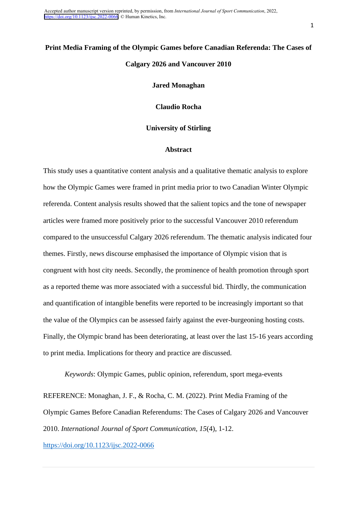Accepted author manuscript version reprinted, by permission, from *International Journal of Sport Communication*, 2022, <https://doi.org/10.1123/ijsc.2022-0066>. © Human Kinetics, Inc.

# **Print Media Framing of the Olympic Games before Canadian Referenda: The Cases of Calgary 2026 and Vancouver 2010**

**Jared Monaghan**

**Claudio Rocha**

# **University of Stirling**

# **Abstract**

This study uses a quantitative content analysis and a qualitative thematic analysis to explore how the Olympic Games were framed in print media prior to two Canadian Winter Olympic referenda. Content analysis results showed that the salient topics and the tone of newspaper articles were framed more positively prior to the successful Vancouver 2010 referendum compared to the unsuccessful Calgary 2026 referendum. The thematic analysis indicated four themes. Firstly, news discourse emphasised the importance of Olympic vision that is congruent with host city needs. Secondly, the prominence of health promotion through sport as a reported theme was more associated with a successful bid. Thirdly, the communication and quantification of intangible benefits were reported to be increasingly important so that the value of the Olympics can be assessed fairly against the ever-burgeoning hosting costs. Finally, the Olympic brand has been deteriorating, at least over the last 15-16 years according to print media. Implications for theory and practice are discussed.

*Keywords*: Olympic Games, public opinion, referendum, sport mega-events REFERENCE: Monaghan, J. F., & Rocha, C. M. (2022). Print Media Framing of the Olympic Games Before Canadian Referendums: The Cases of Calgary 2026 and Vancouver 2010. *International Journal of Sport Communication, 15*(4), 1-12. <https://doi.org/10.1123/ijsc.2022-0066>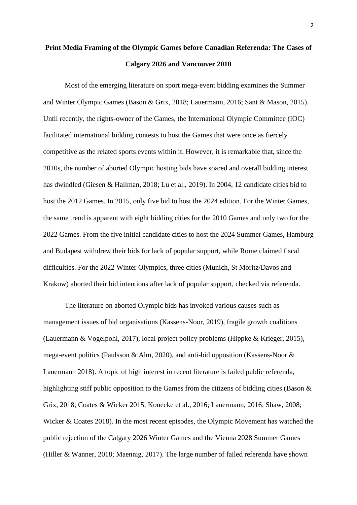# **Print Media Framing of the Olympic Games before Canadian Referenda: The Cases of Calgary 2026 and Vancouver 2010**

Most of the emerging literature on sport mega-event bidding examines the Summer and Winter Olympic Games (Bason & Grix, 2018; Lauermann, 2016; Sant & Mason, 2015). Until recently, the rights-owner of the Games, the International Olympic Committee (IOC) facilitated international bidding contests to host the Games that were once as fiercely competitive as the related sports events within it. However, it is remarkable that, since the 2010s, the number of aborted Olympic hosting bids have soared and overall bidding interest has dwindled (Giesen & Hallman, 2018; Lu et al., 2019). In 2004, 12 candidate cities bid to host the 2012 Games. In 2015, only five bid to host the 2024 edition. For the Winter Games, the same trend is apparent with eight bidding cities for the 2010 Games and only two for the 2022 Games. From the five initial candidate cities to host the 2024 Summer Games, Hamburg and Budapest withdrew their bids for lack of popular support, while Rome claimed fiscal difficulties. For the 2022 Winter Olympics, three cities (Munich, St Moritz/Davos and Krakow) aborted their bid intentions after lack of popular support, checked via referenda.

The literature on aborted Olympic bids has invoked various causes such as management issues of bid organisations (Kassens-Noor, 2019), fragile growth coalitions (Lauermann & Vogelpohl, 2017), local project policy problems (Hippke & Krieger, 2015), mega-event politics (Paulsson & Alm, 2020), and anti-bid opposition (Kassens-Noor & Lauermann 2018). A topic of high interest in recent literature is failed public referenda, highlighting stiff public opposition to the Games from the citizens of bidding cities (Bason  $\&$ Grix, 2018; Coates & Wicker 2015; Konecke et al., 2016; Lauermann, 2016; Shaw, 2008; Wicker & Coates 2018). In the most recent episodes, the Olympic Movement has watched the public rejection of the Calgary 2026 Winter Games and the Vienna 2028 Summer Games (Hiller & Wanner, 2018; Maennig, 2017). The large number of failed referenda have shown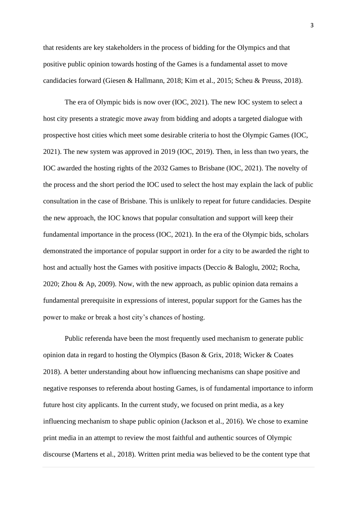that residents are key stakeholders in the process of bidding for the Olympics and that positive public opinion towards hosting of the Games is a fundamental asset to move candidacies forward (Giesen & Hallmann, 2018; Kim et al., 2015; Scheu & Preuss, 2018).

The era of Olympic bids is now over (IOC, 2021). The new IOC system to select a host city presents a strategic move away from bidding and adopts a targeted dialogue with prospective host cities which meet some desirable criteria to host the Olympic Games (IOC, 2021). The new system was approved in 2019 (IOC, 2019). Then, in less than two years, the IOC awarded the hosting rights of the 2032 Games to Brisbane (IOC, 2021). The novelty of the process and the short period the IOC used to select the host may explain the lack of public consultation in the case of Brisbane. This is unlikely to repeat for future candidacies. Despite the new approach, the IOC knows that popular consultation and support will keep their fundamental importance in the process (IOC, 2021). In the era of the Olympic bids, scholars demonstrated the importance of popular support in order for a city to be awarded the right to host and actually host the Games with positive impacts (Deccio & Baloglu, 2002; Rocha, 2020; Zhou & Ap, 2009). Now, with the new approach, as public opinion data remains a fundamental prerequisite in expressions of interest, popular support for the Games has the power to make or break a host city's chances of hosting.

Public referenda have been the most frequently used mechanism to generate public opinion data in regard to hosting the Olympics (Bason & Grix, 2018; Wicker & Coates 2018). A better understanding about how influencing mechanisms can shape positive and negative responses to referenda about hosting Games, is of fundamental importance to inform future host city applicants. In the current study, we focused on print media, as a key influencing mechanism to shape public opinion (Jackson et al., 2016). We chose to examine print media in an attempt to review the most faithful and authentic sources of Olympic discourse (Martens et al., 2018). Written print media was believed to be the content type that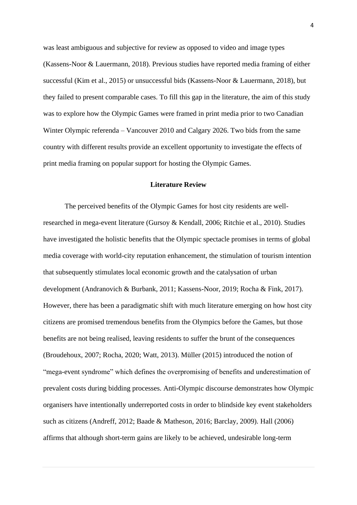was least ambiguous and subjective for review as opposed to video and image types (Kassens-Noor & Lauermann, 2018). Previous studies have reported media framing of either successful (Kim et al., 2015) or unsuccessful bids (Kassens-Noor & Lauermann, 2018), but they failed to present comparable cases. To fill this gap in the literature, the aim of this study was to explore how the Olympic Games were framed in print media prior to two Canadian Winter Olympic referenda – Vancouver 2010 and Calgary 2026. Two bids from the same country with different results provide an excellent opportunity to investigate the effects of print media framing on popular support for hosting the Olympic Games.

## **Literature Review**

The perceived benefits of the Olympic Games for host city residents are wellresearched in mega-event literature (Gursoy & Kendall, 2006; Ritchie et al., 2010). Studies have investigated the holistic benefits that the Olympic spectacle promises in terms of global media coverage with world-city reputation enhancement, the stimulation of tourism intention that subsequently stimulates local economic growth and the catalysation of urban development (Andranovich & Burbank, 2011; Kassens-Noor, 2019; Rocha & Fink, 2017). However, there has been a paradigmatic shift with much literature emerging on how host city citizens are promised tremendous benefits from the Olympics before the Games, but those benefits are not being realised, leaving residents to suffer the brunt of the consequences (Broudehoux, 2007; Rocha, 2020; Watt, 2013). Müller (2015) introduced the notion of "mega-event syndrome" which defines the overpromising of benefits and underestimation of prevalent costs during bidding processes. Anti-Olympic discourse demonstrates how Olympic organisers have intentionally underreported costs in order to blindside key event stakeholders such as citizens (Andreff, 2012; Baade & Matheson, 2016; Barclay, 2009). Hall (2006) affirms that although short-term gains are likely to be achieved, undesirable long-term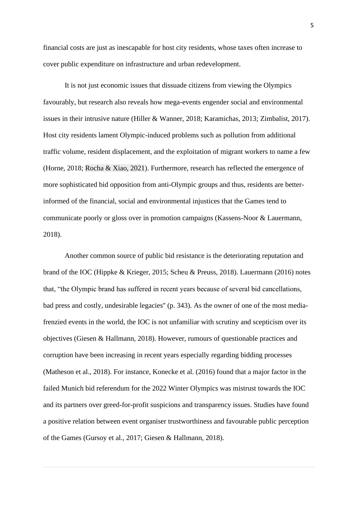financial costs are just as inescapable for host city residents, whose taxes often increase to cover public expenditure on infrastructure and urban redevelopment.

It is not just economic issues that dissuade citizens from viewing the Olympics favourably, but research also reveals how mega-events engender social and environmental issues in their intrusive nature (Hiller & Wanner, 2018; Karamichas, 2013; Zimbalist, 2017). Host city residents lament Olympic-induced problems such as pollution from additional traffic volume, resident displacement, and the exploitation of migrant workers to name a few (Horne, 2018; Rocha & Xiao, 2021). Furthermore, research has reflected the emergence of more sophisticated bid opposition from anti-Olympic groups and thus, residents are betterinformed of the financial, social and environmental injustices that the Games tend to communicate poorly or gloss over in promotion campaigns (Kassens-Noor & Lauermann, 2018).

Another common source of public bid resistance is the deteriorating reputation and brand of the IOC (Hippke & Krieger, 2015; Scheu & Preuss, 2018). Lauermann (2016) notes that, "the Olympic brand has suffered in recent years because of several bid cancellations, bad press and costly, undesirable legacies'' (p. 343). As the owner of one of the most mediafrenzied events in the world, the IOC is not unfamiliar with scrutiny and scepticism over its objectives (Giesen & Hallmann, 2018). However, rumours of questionable practices and corruption have been increasing in recent years especially regarding bidding processes (Matheson et al., 2018). For instance, Konecke et al. (2016) found that a major factor in the failed Munich bid referendum for the 2022 Winter Olympics was mistrust towards the IOC and its partners over greed-for-profit suspicions and transparency issues. Studies have found a positive relation between event organiser trustworthiness and favourable public perception of the Games (Gursoy et al., 2017; Giesen & Hallmann, 2018).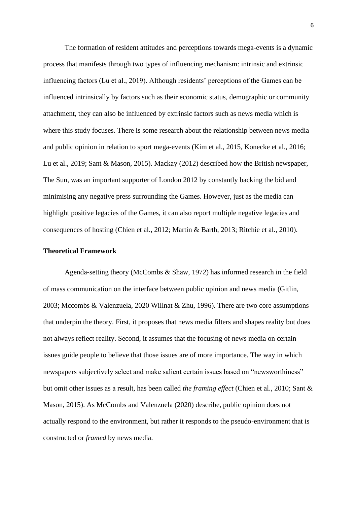The formation of resident attitudes and perceptions towards mega-events is a dynamic process that manifests through two types of influencing mechanism: intrinsic and extrinsic influencing factors (Lu et al., 2019). Although residents' perceptions of the Games can be influenced intrinsically by factors such as their economic status, demographic or community attachment, they can also be influenced by extrinsic factors such as news media which is where this study focuses. There is some research about the relationship between news media and public opinion in relation to sport mega-events (Kim et al., 2015, Konecke et al., 2016; Lu et al., 2019; Sant & Mason, 2015). Mackay (2012) described how the British newspaper, The Sun, was an important supporter of London 2012 by constantly backing the bid and minimising any negative press surrounding the Games. However, just as the media can highlight positive legacies of the Games, it can also report multiple negative legacies and consequences of hosting (Chien et al., 2012; Martin & Barth, 2013; Ritchie et al., 2010).

### **Theoretical Framework**

Agenda-setting theory (McCombs & Shaw, 1972) has informed research in the field of mass communication on the interface between public opinion and news media (Gitlin, 2003; Mccombs & Valenzuela, 2020 Willnat & Zhu, 1996). There are two core assumptions that underpin the theory. First, it proposes that news media filters and shapes reality but does not always reflect reality. Second, it assumes that the focusing of news media on certain issues guide people to believe that those issues are of more importance. The way in which newspapers subjectively select and make salient certain issues based on "newsworthiness" but omit other issues as a result, has been called *the framing effect* (Chien et al., 2010; Sant & Mason, 2015). As McCombs and Valenzuela (2020) describe, public opinion does not actually respond to the environment, but rather it responds to the pseudo-environment that is constructed or *framed* by news media.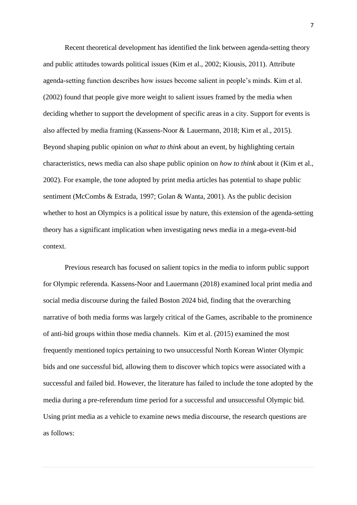Recent theoretical development has identified the link between agenda-setting theory and public attitudes towards political issues (Kim et al., 2002; Kiousis, 2011). Attribute agenda-setting function describes how issues become salient in people's minds. Kim et al. (2002) found that people give more weight to salient issues framed by the media when deciding whether to support the development of specific areas in a city. Support for events is also affected by media framing (Kassens-Noor & Lauermann, 2018; Kim et al., 2015). Beyond shaping public opinion on *what to think* about an event, by highlighting certain characteristics, news media can also shape public opinion on *how to think* about it (Kim et al., 2002). For example, the tone adopted by print media articles has potential to shape public sentiment (McCombs & Estrada, 1997; Golan & Wanta, 2001). As the public decision whether to host an Olympics is a political issue by nature, this extension of the agenda-setting theory has a significant implication when investigating news media in a mega-event-bid context.

Previous research has focused on salient topics in the media to inform public support for Olympic referenda. Kassens-Noor and Lauermann (2018) examined local print media and social media discourse during the failed Boston 2024 bid, finding that the overarching narrative of both media forms was largely critical of the Games, ascribable to the prominence of anti-bid groups within those media channels. Kim et al. (2015) examined the most frequently mentioned topics pertaining to two unsuccessful North Korean Winter Olympic bids and one successful bid, allowing them to discover which topics were associated with a successful and failed bid. However, the literature has failed to include the tone adopted by the media during a pre-referendum time period for a successful and unsuccessful Olympic bid. Using print media as a vehicle to examine news media discourse, the research questions are as follows: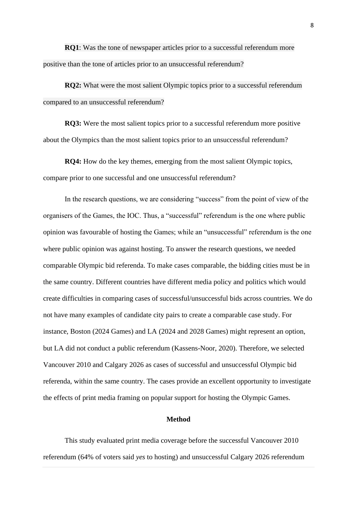**RQ1**: Was the tone of newspaper articles prior to a successful referendum more positive than the tone of articles prior to an unsuccessful referendum?

**RQ2:** What were the most salient Olympic topics prior to a successful referendum compared to an unsuccessful referendum?

**RQ3:** Were the most salient topics prior to a successful referendum more positive about the Olympics than the most salient topics prior to an unsuccessful referendum?

**RQ4:** How do the key themes, emerging from the most salient Olympic topics, compare prior to one successful and one unsuccessful referendum?

In the research questions, we are considering "success" from the point of view of the organisers of the Games, the IOC. Thus, a "successful" referendum is the one where public opinion was favourable of hosting the Games; while an "unsuccessful" referendum is the one where public opinion was against hosting. To answer the research questions, we needed comparable Olympic bid referenda. To make cases comparable, the bidding cities must be in the same country. Different countries have different media policy and politics which would create difficulties in comparing cases of successful/unsuccessful bids across countries. We do not have many examples of candidate city pairs to create a comparable case study. For instance, Boston (2024 Games) and LA (2024 and 2028 Games) might represent an option, but LA did not conduct a public referendum (Kassens-Noor, 2020). Therefore, we selected Vancouver 2010 and Calgary 2026 as cases of successful and unsuccessful Olympic bid referenda, within the same country. The cases provide an excellent opportunity to investigate the effects of print media framing on popular support for hosting the Olympic Games.

# **Method**

This study evaluated print media coverage before the successful Vancouver 2010 referendum (64% of voters said *yes* to hosting) and unsuccessful Calgary 2026 referendum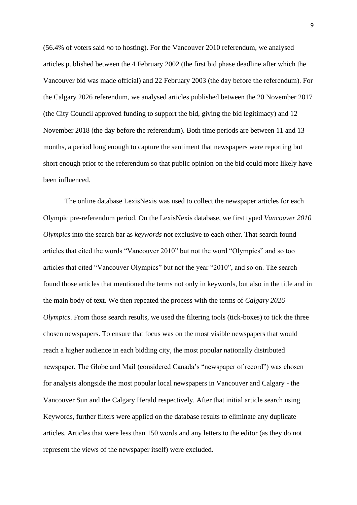(56.4% of voters said *no* to hosting). For the Vancouver 2010 referendum, we analysed articles published between the 4 February 2002 (the first bid phase deadline after which the Vancouver bid was made official) and 22 February 2003 (the day before the referendum). For the Calgary 2026 referendum, we analysed articles published between the 20 November 2017 (the City Council approved funding to support the bid, giving the bid legitimacy) and 12 November 2018 (the day before the referendum). Both time periods are between 11 and 13 months, a period long enough to capture the sentiment that newspapers were reporting but short enough prior to the referendum so that public opinion on the bid could more likely have been influenced.

The online database LexisNexis was used to collect the newspaper articles for each Olympic pre-referendum period. On the LexisNexis database, we first typed *Vancouver 2010 Olympics* into the search bar as *keywords* not exclusive to each other. That search found articles that cited the words "Vancouver 2010" but not the word "Olympics" and so too articles that cited "Vancouver Olympics" but not the year "2010", and so on. The search found those articles that mentioned the terms not only in keywords, but also in the title and in the main body of text. We then repeated the process with the terms of *Calgary 2026 Olympics*. From those search results, we used the filtering tools (tick-boxes) to tick the three chosen newspapers. To ensure that focus was on the most visible newspapers that would reach a higher audience in each bidding city, the most popular nationally distributed newspaper, The Globe and Mail (considered Canada's "newspaper of record") was chosen for analysis alongside the most popular local newspapers in Vancouver and Calgary - the Vancouver Sun and the Calgary Herald respectively. After that initial article search using Keywords, further filters were applied on the database results to eliminate any duplicate articles. Articles that were less than 150 words and any letters to the editor (as they do not represent the views of the newspaper itself) were excluded.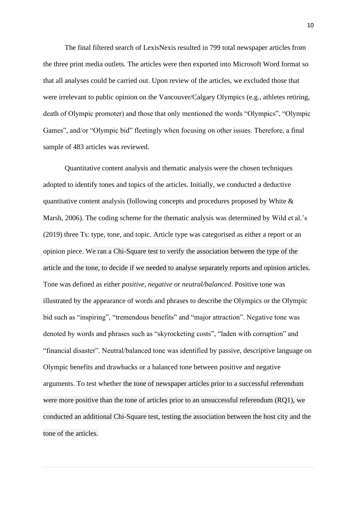The final filtered search of LexisNexis resulted in 799 total newspaper articles from the three print media outlets. The articles were then exported into Microsoft Word format so that all analyses could be carried out. Upon review of the articles, we excluded those that were irrelevant to public opinion on the Vancouver/Calgary Olympics (e.g., athletes retiring, death of Olympic promoter) and those that only mentioned the words "Olympics", "Olympic Games", and/or "Olympic bid" fleetingly when focusing on other issues. Therefore, a final sample of 483 articles was reviewed.

Quantitative content analysis and thematic analysis were the chosen techniques adopted to identify tones and topics of the articles. Initially, we conducted a deductive quantitative content analysis (following concepts and procedures proposed by White  $\&$ Marsh, 2006). The coding scheme for the thematic analysis was determined by Wild et al.'s (2019) three Ts: type, tone, and topic. Article type was categorised as either a report or an opinion piece. We ran a Chi-Square test to verify the association between the type of the article and the tone, to decide if we needed to analyse separately reports and opinion articles. Tone was defined as either *positive*, *negative* or *neutral/balanced*. Positive tone was illustrated by the appearance of words and phrases to describe the Olympics or the Olympic bid such as "inspiring", "tremendous benefits" and "major attraction". Negative tone was denoted by words and phrases such as "skyrocketing costs", "laden with corruption" and "financial disaster". Neutral/balanced tone was identified by passive, descriptive language on Olympic benefits and drawbacks or a balanced tone between positive and negative arguments. To test whether the tone of newspaper articles prior to a successful referendum were more positive than the tone of articles prior to an unsuccessful referendum (RQ1), we conducted an additional Chi-Square test, testing the association between the host city and the tone of the articles.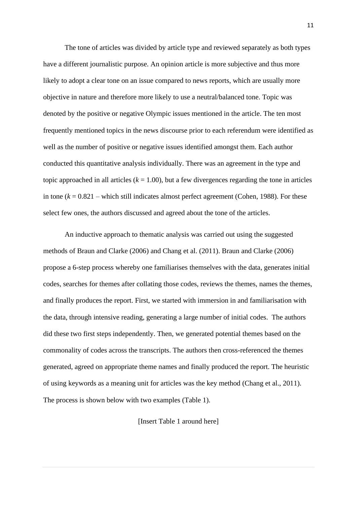The tone of articles was divided by article type and reviewed separately as both types have a different journalistic purpose. An opinion article is more subjective and thus more likely to adopt a clear tone on an issue compared to news reports, which are usually more objective in nature and therefore more likely to use a neutral/balanced tone. Topic was denoted by the positive or negative Olympic issues mentioned in the article. The ten most frequently mentioned topics in the news discourse prior to each referendum were identified as well as the number of positive or negative issues identified amongst them. Each author conducted this quantitative analysis individually. There was an agreement in the type and topic approached in all articles  $(k = 1.00)$ , but a few divergences regarding the tone in articles in tone  $(k = 0.821$  – which still indicates almost perfect agreement (Cohen, 1988). For these select few ones, the authors discussed and agreed about the tone of the articles.

An inductive approach to thematic analysis was carried out using the suggested methods of Braun and Clarke (2006) and Chang et al. (2011). Braun and Clarke (2006) propose a 6-step process whereby one familiarises themselves with the data, generates initial codes, searches for themes after collating those codes, reviews the themes, names the themes, and finally produces the report. First, we started with immersion in and familiarisation with the data, through intensive reading, generating a large number of initial codes. The authors did these two first steps independently. Then, we generated potential themes based on the commonality of codes across the transcripts. The authors then cross-referenced the themes generated, agreed on appropriate theme names and finally produced the report. The heuristic of using keywords as a meaning unit for articles was the key method (Chang et al., 2011). The process is shown below with two examples (Table 1).

[Insert Table 1 around here]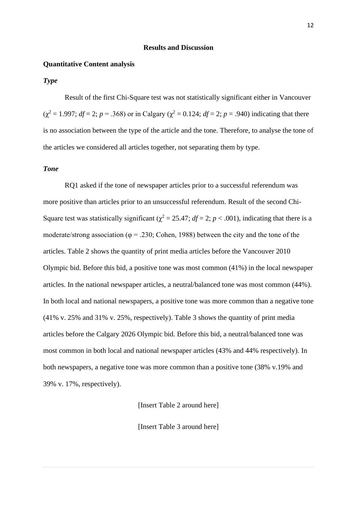#### **Results and Discussion**

#### **Quantitative Content analysis**

# *Type*

Result of the first Chi-Square test was not statistically significant either in Vancouver  $(\chi^2 = 1.997; df = 2; p = .368)$  or in Calgary ( $\chi^2 = 0.124; df = 2; p = .940$ ) indicating that there is no association between the type of the article and the tone. Therefore, to analyse the tone of the articles we considered all articles together, not separating them by type.

# *Tone*

RQ1 asked if the tone of newspaper articles prior to a successful referendum was more positive than articles prior to an unsuccessful referendum. Result of the second Chi-Square test was statistically significant ( $\chi^2 = 25.47$ ; *df* = 2; *p* < .001), indicating that there is a moderate/strong association ( $\varphi = 0.230$ ; Cohen, 1988) between the city and the tone of the articles. Table 2 shows the quantity of print media articles before the Vancouver 2010 Olympic bid. Before this bid, a positive tone was most common (41%) in the local newspaper articles. In the national newspaper articles, a neutral/balanced tone was most common (44%). In both local and national newspapers, a positive tone was more common than a negative tone (41% v. 25% and 31% v. 25%, respectively). Table 3 shows the quantity of print media articles before the Calgary 2026 Olympic bid. Before this bid, a neutral/balanced tone was most common in both local and national newspaper articles (43% and 44% respectively). In both newspapers, a negative tone was more common than a positive tone (38% v.19% and 39% v. 17%, respectively).

[Insert Table 2 around here]

[Insert Table 3 around here]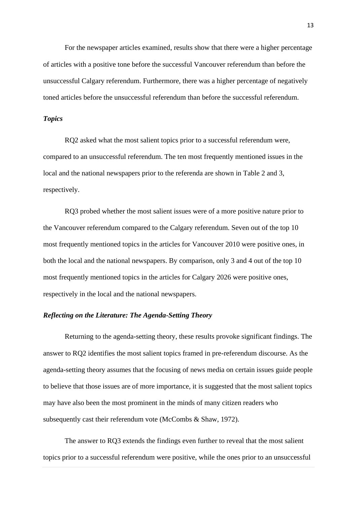For the newspaper articles examined, results show that there were a higher percentage of articles with a positive tone before the successful Vancouver referendum than before the unsuccessful Calgary referendum. Furthermore, there was a higher percentage of negatively toned articles before the unsuccessful referendum than before the successful referendum.

# *Topics*

RQ2 asked what the most salient topics prior to a successful referendum were, compared to an unsuccessful referendum. The ten most frequently mentioned issues in the local and the national newspapers prior to the referenda are shown in Table 2 and 3, respectively.

RQ3 probed whether the most salient issues were of a more positive nature prior to the Vancouver referendum compared to the Calgary referendum. Seven out of the top 10 most frequently mentioned topics in the articles for Vancouver 2010 were positive ones, in both the local and the national newspapers. By comparison, only 3 and 4 out of the top 10 most frequently mentioned topics in the articles for Calgary 2026 were positive ones, respectively in the local and the national newspapers.

# *Reflecting on the Literature: The Agenda-Setting Theory*

Returning to the agenda-setting theory, these results provoke significant findings. The answer to RQ2 identifies the most salient topics framed in pre-referendum discourse. As the agenda-setting theory assumes that the focusing of news media on certain issues guide people to believe that those issues are of more importance, it is suggested that the most salient topics may have also been the most prominent in the minds of many citizen readers who subsequently cast their referendum vote (McCombs & Shaw, 1972).

The answer to RQ3 extends the findings even further to reveal that the most salient topics prior to a successful referendum were positive, while the ones prior to an unsuccessful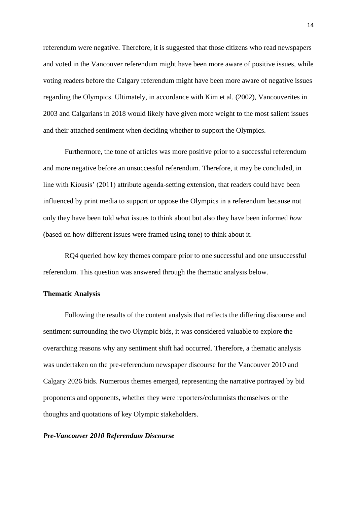referendum were negative. Therefore, it is suggested that those citizens who read newspapers and voted in the Vancouver referendum might have been more aware of positive issues, while voting readers before the Calgary referendum might have been more aware of negative issues regarding the Olympics. Ultimately, in accordance with Kim et al. (2002), Vancouverites in 2003 and Calgarians in 2018 would likely have given more weight to the most salient issues and their attached sentiment when deciding whether to support the Olympics.

Furthermore, the tone of articles was more positive prior to a successful referendum and more negative before an unsuccessful referendum. Therefore, it may be concluded, in line with Kiousis' (2011) attribute agenda-setting extension, that readers could have been influenced by print media to support or oppose the Olympics in a referendum because not only they have been told *what* issues to think about but also they have been informed *how* (based on how different issues were framed using tone) to think about it.

RQ4 queried how key themes compare prior to one successful and one unsuccessful referendum. This question was answered through the thematic analysis below.

# **Thematic Analysis**

Following the results of the content analysis that reflects the differing discourse and sentiment surrounding the two Olympic bids, it was considered valuable to explore the overarching reasons why any sentiment shift had occurred. Therefore, a thematic analysis was undertaken on the pre-referendum newspaper discourse for the Vancouver 2010 and Calgary 2026 bids. Numerous themes emerged, representing the narrative portrayed by bid proponents and opponents, whether they were reporters/columnists themselves or the thoughts and quotations of key Olympic stakeholders.

# *Pre-Vancouver 2010 Referendum Discourse*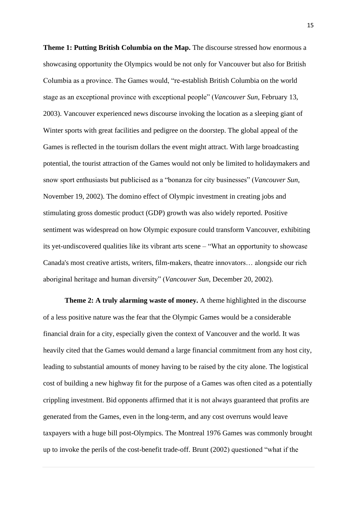**Theme 1: Putting British Columbia on the Map.** The discourse stressed how enormous a showcasing opportunity the Olympics would be not only for Vancouver but also for British Columbia as a province. The Games would, "re-establish British Columbia on the world stage as an exceptional province with exceptional people" (*Vancouver Sun*, February 13, 2003). Vancouver experienced news discourse invoking the location as a sleeping giant of Winter sports with great facilities and pedigree on the doorstep. The global appeal of the Games is reflected in the tourism dollars the event might attract. With large broadcasting potential, the tourist attraction of the Games would not only be limited to holidaymakers and snow sport enthusiasts but publicised as a "bonanza for city businesses" (*Vancouver Sun*, November 19, 2002). The domino effect of Olympic investment in creating jobs and stimulating gross domestic product (GDP) growth was also widely reported. Positive sentiment was widespread on how Olympic exposure could transform Vancouver, exhibiting its yet-undiscovered qualities like its vibrant arts scene – "What an opportunity to showcase Canada's most creative artists, writers, film-makers, theatre innovators… alongside our rich aboriginal heritage and human diversity" (*Vancouver Sun*, December 20, 2002).

**Theme 2: A truly alarming waste of money.** A theme highlighted in the discourse of a less positive nature was the fear that the Olympic Games would be a considerable financial drain for a city, especially given the context of Vancouver and the world. It was heavily cited that the Games would demand a large financial commitment from any host city, leading to substantial amounts of money having to be raised by the city alone. The logistical cost of building a new highway fit for the purpose of a Games was often cited as a potentially crippling investment. Bid opponents affirmed that it is not always guaranteed that profits are generated from the Games, even in the long-term, and any cost overruns would leave taxpayers with a huge bill post-Olympics. The Montreal 1976 Games was commonly brought up to invoke the perils of the cost-benefit trade-off. Brunt (2002) questioned "what if the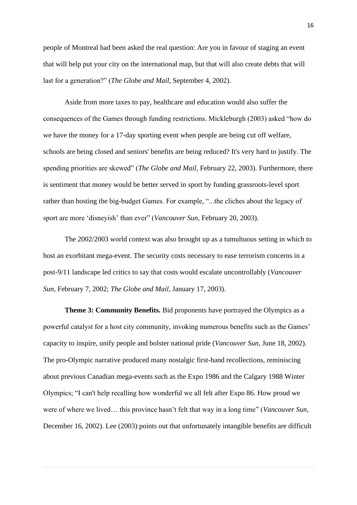people of Montreal had been asked the real question: Are you in favour of staging an event that will help put your city on the international map, but that will also create debts that will last for a generation?" (*The Globe and Mail*, September 4, 2002).

Aside from more taxes to pay, healthcare and education would also suffer the consequences of the Games through funding restrictions. Mickleburgh (2003) asked "how do we have the money for a 17-day sporting event when people are being cut off welfare, schools are being closed and seniors' benefits are being reduced? It's very hard to justify. The spending priorities are skewed" (*The Globe and Mail*, February 22, 2003). Furthermore, there is sentiment that money would be better served in sport by funding grassroots-level sport rather than hosting the big-budget Games. For example, "...the cliches about the legacy of sport are more 'disneyish' than ever" (*Vancouver Sun*, February 20, 2003).

The 2002/2003 world context was also brought up as a tumultuous setting in which to host an exorbitant mega-event. The security costs necessary to ease terrorism concerns in a post-9/11 landscape led critics to say that costs would escalate uncontrollably (*Vancouver Sun*, February 7, 2002; *The Globe and Mail*, January 17, 2003).

**Theme 3: Community Benefits.** Bid proponents have portrayed the Olympics as a powerful catalyst for a host city community, invoking numerous benefits such as the Games' capacity to inspire, unify people and bolster national pride (*Vancouver Sun*, June 18, 2002). The pro-Olympic narrative produced many nostalgic first-hand recollections, reminiscing about previous Canadian mega-events such as the Expo 1986 and the Calgary 1988 Winter Olympics; "I can't help recalling how wonderful we all felt after Expo 86. How proud we were of where we lived… this province hasn't felt that way in a long time" (*Vancouver Sun*, December 16, 2002). Lee (2003) points out that unfortunately intangible benefits are difficult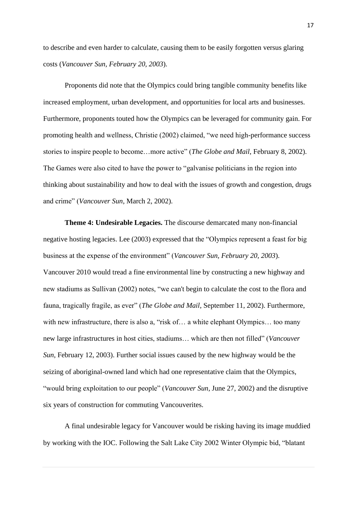to describe and even harder to calculate, causing them to be easily forgotten versus glaring costs (*Vancouver Sun, February 20, 2003*).

Proponents did note that the Olympics could bring tangible community benefits like increased employment, urban development, and opportunities for local arts and businesses. Furthermore, proponents touted how the Olympics can be leveraged for community gain. For promoting health and wellness, Christie (2002) claimed, "we need high-performance success stories to inspire people to become…more active" (*The Globe and Mail*, February 8, 2002). The Games were also cited to have the power to "galvanise politicians in the region into thinking about sustainability and how to deal with the issues of growth and congestion, drugs and crime" (*Vancouver Sun*, March 2, 2002).

**Theme 4: Undesirable Legacies.** The discourse demarcated many non-financial negative hosting legacies. Lee (2003) expressed that the "Olympics represent a feast for big business at the expense of the environment" (*Vancouver Sun, February 20, 2003*). Vancouver 2010 would tread a fine environmental line by constructing a new highway and new stadiums as Sullivan (2002) notes, "we can't begin to calculate the cost to the flora and fauna, tragically fragile, as ever" (*The Globe and Mail*, September 11, 2002). Furthermore, with new infrastructure, there is also a, "risk of... a white elephant Olympics... too many new large infrastructures in host cities, stadiums… which are then not filled" (*Vancouver Sun*, February 12, 2003). Further social issues caused by the new highway would be the seizing of aboriginal-owned land which had one representative claim that the Olympics, "would bring exploitation to our people" (*Vancouver Sun*, June 27, 2002) and the disruptive six years of construction for commuting Vancouverites.

A final undesirable legacy for Vancouver would be risking having its image muddied by working with the IOC. Following the Salt Lake City 2002 Winter Olympic bid, "blatant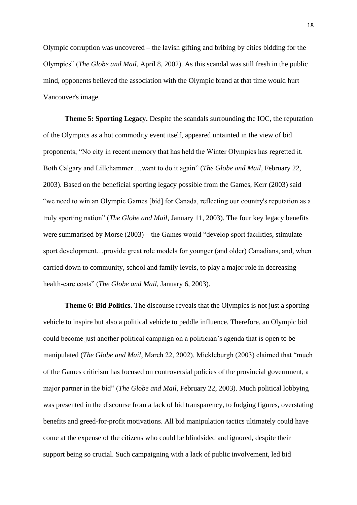Olympic corruption was uncovered – the lavish gifting and bribing by cities bidding for the Olympics" (*The Globe and Mail*, April 8, 2002). As this scandal was still fresh in the public mind, opponents believed the association with the Olympic brand at that time would hurt Vancouver's image.

**Theme 5: Sporting Legacy.** Despite the scandals surrounding the IOC, the reputation of the Olympics as a hot commodity event itself, appeared untainted in the view of bid proponents; "No city in recent memory that has held the Winter Olympics has regretted it. Both Calgary and Lillehammer …want to do it again" (*The Globe and Mail*, February 22, 2003). Based on the beneficial sporting legacy possible from the Games, Kerr (2003) said "we need to win an Olympic Games [bid] for Canada, reflecting our country's reputation as a truly sporting nation" (*The Globe and Mail*, January 11, 2003). The four key legacy benefits were summarised by Morse (2003) – the Games would "develop sport facilities, stimulate sport development…provide great role models for younger (and older) Canadians, and, when carried down to community, school and family levels, to play a major role in decreasing health-care costs" (*The Globe and Mail*, January 6, 2003).

**Theme 6: Bid Politics.** The discourse reveals that the Olympics is not just a sporting vehicle to inspire but also a political vehicle to peddle influence. Therefore, an Olympic bid could become just another political campaign on a politician's agenda that is open to be manipulated (*The Globe and Mail*, March 22, 2002). Mickleburgh (2003) claimed that "much of the Games criticism has focused on controversial policies of the provincial government, a major partner in the bid" (*The Globe and Mail*, February 22, 2003). Much political lobbying was presented in the discourse from a lack of bid transparency, to fudging figures, overstating benefits and greed-for-profit motivations. All bid manipulation tactics ultimately could have come at the expense of the citizens who could be blindsided and ignored, despite their support being so crucial. Such campaigning with a lack of public involvement, led bid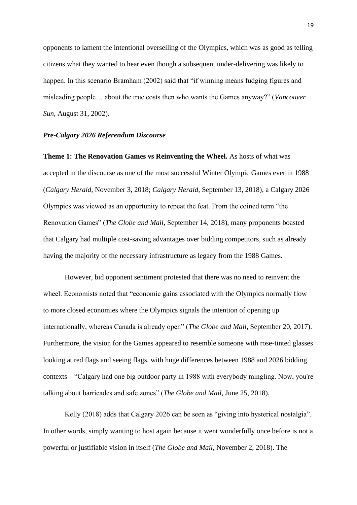opponents to lament the intentional overselling of the Olympics, which was as good as telling citizens what they wanted to hear even though a subsequent under-delivering was likely to happen. In this scenario Bramham (2002) said that "if winning means fudging figures and misleading people… about the true costs then who wants the Games anyway?" (*Vancouver Sun*, August 31, 2002).

# *Pre-Calgary 2026 Referendum Discourse*

**Theme 1: The Renovation Games vs Reinventing the Wheel.** As hosts of what was accepted in the discourse as one of the most successful Winter Olympic Games ever in 1988 (*Calgary Herald*, November 3, 2018; *Calgary Herald*, September 13, 2018), a Calgary 2026 Olympics was viewed as an opportunity to repeat the feat. From the coined term "the Renovation Games" (*The Globe and Mail*, September 14, 2018), many proponents boasted that Calgary had multiple cost-saving advantages over bidding competitors, such as already having the majority of the necessary infrastructure as legacy from the 1988 Games.

However, bid opponent sentiment protested that there was no need to reinvent the wheel. Economists noted that "economic gains associated with the Olympics normally flow to more closed economies where the Olympics signals the intention of opening up internationally, whereas Canada is already open" (*The Globe and Mail*, September 20, 2017). Furthermore, the vision for the Games appeared to resemble someone with rose-tinted glasses looking at red flags and seeing flags, with huge differences between 1988 and 2026 bidding contexts – "Calgary had one big outdoor party in 1988 with everybody mingling. Now, you're talking about barricades and safe zones" (*The Globe and Mail*, June 25, 2018).

Kelly (2018) adds that Calgary 2026 can be seen as "giving into hysterical nostalgia". In other words, simply wanting to host again because it went wonderfully once before is not a powerful or justifiable vision in itself (*The Globe and Mail*, November 2, 2018). The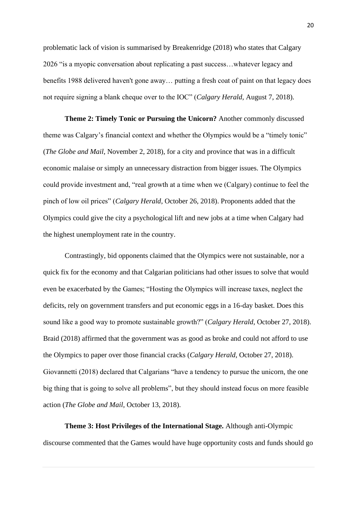problematic lack of vision is summarised by Breakenridge (2018) who states that Calgary 2026 "is a myopic conversation about replicating a past success…whatever legacy and benefits 1988 delivered haven't gone away… putting a fresh coat of paint on that legacy does not require signing a blank cheque over to the IOC" (*Calgary Herald*, August 7, 2018).

**Theme 2: Timely Tonic or Pursuing the Unicorn?** Another commonly discussed theme was Calgary's financial context and whether the Olympics would be a "timely tonic" (*The Globe and Mail*, November 2, 2018), for a city and province that was in a difficult economic malaise or simply an unnecessary distraction from bigger issues. The Olympics could provide investment and, "real growth at a time when we (Calgary) continue to feel the pinch of low oil prices" (*Calgary Herald*, October 26, 2018). Proponents added that the Olympics could give the city a psychological lift and new jobs at a time when Calgary had the highest unemployment rate in the country.

Contrastingly, bid opponents claimed that the Olympics were not sustainable, nor a quick fix for the economy and that Calgarian politicians had other issues to solve that would even be exacerbated by the Games; "Hosting the Olympics will increase taxes, neglect the deficits, rely on government transfers and put economic eggs in a 16-day basket. Does this sound like a good way to promote sustainable growth?" (*Calgary Herald*, October 27, 2018). Braid (2018) affirmed that the government was as good as broke and could not afford to use the Olympics to paper over those financial cracks (*Calgary Herald*, October 27, 2018). Giovannetti (2018) declared that Calgarians "have a tendency to pursue the unicorn, the one big thing that is going to solve all problems", but they should instead focus on more feasible action (*The Globe and Mail*, October 13, 2018).

**Theme 3: Host Privileges of the International Stage.** Although anti-Olympic discourse commented that the Games would have huge opportunity costs and funds should go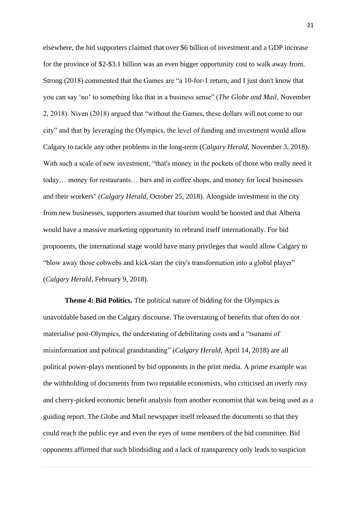elsewhere, the bid supporters claimed that over \$6 billion of investment and a GDP increase for the province of \$2-\$3.1 billion was an even bigger opportunity cost to walk away from. Strong (2018) commented that the Games are "a 10-for-1 return, and I just don't know that you can say 'no' to something like that in a business sense" (*The Globe and Mail*, November 2, 2018). Niven (2018) argued that "without the Games, these dollars will not come to our city" and that by leveraging the Olympics, the level of funding and investment would allow Calgary to tackle any other problems in the long-term (*Calgary Herald*, November 3, 2018). With such a scale of new investment, "that's money in the pockets of those who really need it today… money for restaurants… bars and in coffee shops, and money for local businesses and their workers" (*Calgary Herald*, October 25, 2018). Alongside investment in the city from new businesses, supporters assumed that tourism would be boosted and that Alberta would have a massive marketing opportunity to rebrand itself internationally. For bid proponents, the international stage would have many privileges that would allow Calgary to "blow away those cobwebs and kick-start the city's transformation into a global player" (*Calgary Herald*, February 9, 2018).

**Theme 4: Bid Politics.** The political nature of bidding for the Olympics is unavoidable based on the Calgary discourse. The overstating of benefits that often do not materialise post-Olympics, the understating of debilitating costs and a "tsunami of misinformation and political grandstanding" (*Calgary Herald*, April 14, 2018) are all political power-plays mentioned by bid opponents in the print media. A prime example was the withholding of documents from two reputable economists, who criticised an overly rosy and cherry-picked economic benefit analysis from another economist that was being used as a guiding report. The Globe and Mail newspaper itself released the documents so that they could reach the public eye and even the eyes of some members of the bid committee. Bid opponents affirmed that such blindsiding and a lack of transparency only leads to suspicion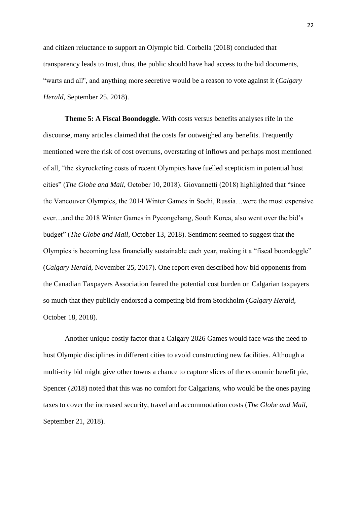and citizen reluctance to support an Olympic bid. Corbella (2018) concluded that transparency leads to trust, thus, the public should have had access to the bid documents, "warts and all'', and anything more secretive would be a reason to vote against it (*Calgary Herald*, September 25, 2018).

**Theme 5: A Fiscal Boondoggle.** With costs versus benefits analyses rife in the discourse, many articles claimed that the costs far outweighed any benefits. Frequently mentioned were the risk of cost overruns, overstating of inflows and perhaps most mentioned of all, "the skyrocketing costs of recent Olympics have fuelled scepticism in potential host cities" (*The Globe and Mail*, October 10, 2018). Giovannetti (2018) highlighted that "since the Vancouver Olympics, the 2014 Winter Games in Sochi, Russia…were the most expensive ever…and the 2018 Winter Games in Pyeongchang, South Korea, also went over the bid's budget" (*The Globe and Mail*, October 13, 2018). Sentiment seemed to suggest that the Olympics is becoming less financially sustainable each year, making it a "fiscal boondoggle" (*Calgary Herald*, November 25, 2017). One report even described how bid opponents from the Canadian Taxpayers Association feared the potential cost burden on Calgarian taxpayers so much that they publicly endorsed a competing bid from Stockholm (*Calgary Herald*, October 18, 2018).

Another unique costly factor that a Calgary 2026 Games would face was the need to host Olympic disciplines in different cities to avoid constructing new facilities. Although a multi-city bid might give other towns a chance to capture slices of the economic benefit pie, Spencer (2018) noted that this was no comfort for Calgarians, who would be the ones paying taxes to cover the increased security, travel and accommodation costs (*The Globe and Mail*, September 21, 2018).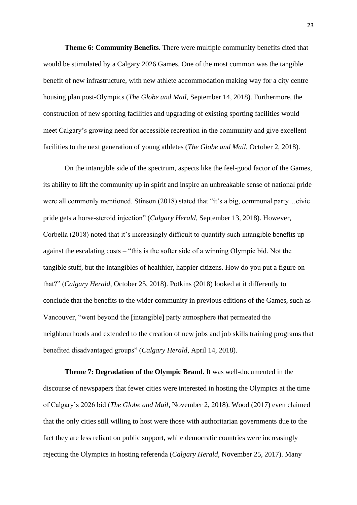**Theme 6: Community Benefits.** There were multiple community benefits cited that would be stimulated by a Calgary 2026 Games. One of the most common was the tangible benefit of new infrastructure, with new athlete accommodation making way for a city centre housing plan post-Olympics (*The Globe and Mail*, September 14, 2018). Furthermore, the construction of new sporting facilities and upgrading of existing sporting facilities would meet Calgary's growing need for accessible recreation in the community and give excellent facilities to the next generation of young athletes (*The Globe and Mail*, October 2, 2018).

On the intangible side of the spectrum, aspects like the feel-good factor of the Games, its ability to lift the community up in spirit and inspire an unbreakable sense of national pride were all commonly mentioned. Stinson (2018) stated that "it's a big, communal party…civic pride gets a horse-steroid injection" (*Calgary Herald*, September 13, 2018). However, Corbella (2018) noted that it's increasingly difficult to quantify such intangible benefits up against the escalating costs – "this is the softer side of a winning Olympic bid. Not the tangible stuff, but the intangibles of healthier, happier citizens. How do you put a figure on that?" (*Calgary Herald*, October 25, 2018). Potkins (2018) looked at it differently to conclude that the benefits to the wider community in previous editions of the Games, such as Vancouver, "went beyond the [intangible] party atmosphere that permeated the neighbourhoods and extended to the creation of new jobs and job skills training programs that benefited disadvantaged groups" (*Calgary Herald*, April 14, 2018).

**Theme 7: Degradation of the Olympic Brand.** It was well-documented in the discourse of newspapers that fewer cities were interested in hosting the Olympics at the time of Calgary's 2026 bid (*The Globe and Mail*, November 2, 2018). Wood (2017) even claimed that the only cities still willing to host were those with authoritarian governments due to the fact they are less reliant on public support, while democratic countries were increasingly rejecting the Olympics in hosting referenda (*Calgary Herald*, November 25, 2017). Many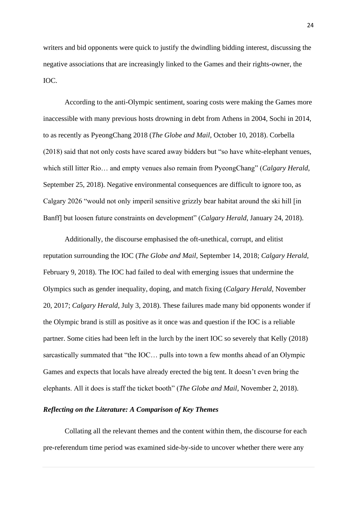writers and bid opponents were quick to justify the dwindling bidding interest, discussing the negative associations that are increasingly linked to the Games and their rights-owner, the IOC.

According to the anti-Olympic sentiment, soaring costs were making the Games more inaccessible with many previous hosts drowning in debt from Athens in 2004, Sochi in 2014, to as recently as PyeongChang 2018 (*The Globe and Mail*, October 10, 2018). Corbella (2018) said that not only costs have scared away bidders but "so have white-elephant venues, which still litter Rio… and empty venues also remain from PyeongChang" (*Calgary Herald*, September 25, 2018). Negative environmental consequences are difficult to ignore too, as Calgary 2026 "would not only imperil sensitive grizzly bear habitat around the ski hill [in Banff] but loosen future constraints on development" (*Calgary Herald*, January 24, 2018).

Additionally, the discourse emphasised the oft-unethical, corrupt, and elitist reputation surrounding the IOC (*The Globe and Mail*, September 14, 2018; *Calgary Herald*, February 9, 2018). The IOC had failed to deal with emerging issues that undermine the Olympics such as gender inequality, doping, and match fixing (*Calgary Herald*, November 20, 2017; *Calgary Herald*, July 3, 2018). These failures made many bid opponents wonder if the Olympic brand is still as positive as it once was and question if the IOC is a reliable partner. Some cities had been left in the lurch by the inert IOC so severely that Kelly (2018) sarcastically summated that "the IOC… pulls into town a few months ahead of an Olympic Games and expects that locals have already erected the big tent. It doesn't even bring the elephants. All it does is staff the ticket booth" (*The Globe and Mail*, November 2, 2018).

## *Reflecting on the Literature: A Comparison of Key Themes*

Collating all the relevant themes and the content within them, the discourse for each pre-referendum time period was examined side-by-side to uncover whether there were any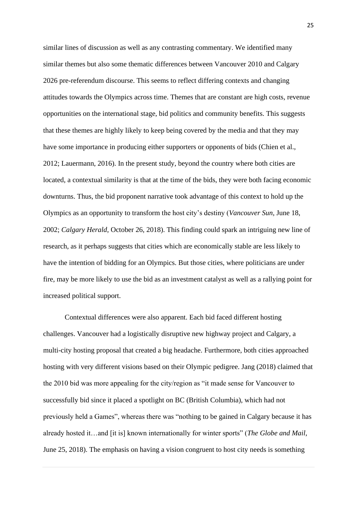similar lines of discussion as well as any contrasting commentary. We identified many similar themes but also some thematic differences between Vancouver 2010 and Calgary 2026 pre-referendum discourse. This seems to reflect differing contexts and changing attitudes towards the Olympics across time. Themes that are constant are high costs, revenue opportunities on the international stage, bid politics and community benefits. This suggests that these themes are highly likely to keep being covered by the media and that they may have some importance in producing either supporters or opponents of bids (Chien et al., 2012; Lauermann, 2016). In the present study, beyond the country where both cities are located, a contextual similarity is that at the time of the bids, they were both facing economic downturns. Thus, the bid proponent narrative took advantage of this context to hold up the Olympics as an opportunity to transform the host city's destiny (*Vancouver Sun*, June 18, 2002; *Calgary Herald*, October 26, 2018). This finding could spark an intriguing new line of research, as it perhaps suggests that cities which are economically stable are less likely to have the intention of bidding for an Olympics. But those cities, where politicians are under fire, may be more likely to use the bid as an investment catalyst as well as a rallying point for increased political support.

Contextual differences were also apparent. Each bid faced different hosting challenges. Vancouver had a logistically disruptive new highway project and Calgary, a multi-city hosting proposal that created a big headache. Furthermore, both cities approached hosting with very different visions based on their Olympic pedigree. Jang (2018) claimed that the 2010 bid was more appealing for the city/region as "it made sense for Vancouver to successfully bid since it placed a spotlight on BC (British Columbia), which had not previously held a Games", whereas there was "nothing to be gained in Calgary because it has already hosted it…and [it is] known internationally for winter sports" (*The Globe and Mail*, June 25, 2018). The emphasis on having a vision congruent to host city needs is something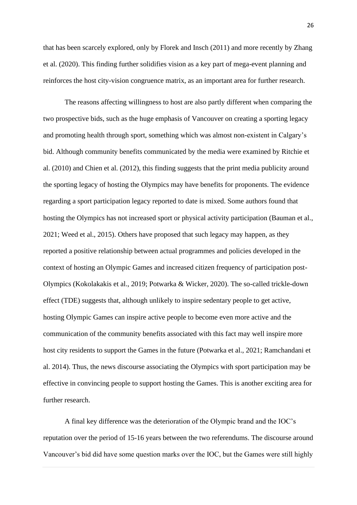that has been scarcely explored, only by Florek and Insch (2011) and more recently by Zhang et al. (2020). This finding further solidifies vision as a key part of mega-event planning and reinforces the host city-vision congruence matrix, as an important area for further research.

The reasons affecting willingness to host are also partly different when comparing the two prospective bids, such as the huge emphasis of Vancouver on creating a sporting legacy and promoting health through sport, something which was almost non-existent in Calgary's bid. Although community benefits communicated by the media were examined by Ritchie et al. (2010) and Chien et al. (2012), this finding suggests that the print media publicity around the sporting legacy of hosting the Olympics may have benefits for proponents. The evidence regarding a sport participation legacy reported to date is mixed. Some authors found that hosting the Olympics has not increased sport or physical activity participation (Bauman et al., 2021; Weed et al., 2015). Others have proposed that such legacy may happen, as they reported a positive relationship between actual programmes and policies developed in the context of hosting an Olympic Games and increased citizen frequency of participation post-Olympics (Kokolakakis et al., 2019; Potwarka & Wicker, 2020). The so-called trickle-down effect (TDE) suggests that, although unlikely to inspire sedentary people to get active, hosting Olympic Games can inspire active people to become even more active and the communication of the community benefits associated with this fact may well inspire more host city residents to support the Games in the future (Potwarka et al., 2021; Ramchandani et al. 2014). Thus, the news discourse associating the Olympics with sport participation may be effective in convincing people to support hosting the Games. This is another exciting area for further research.

A final key difference was the deterioration of the Olympic brand and the IOC's reputation over the period of 15-16 years between the two referendums. The discourse around Vancouver's bid did have some question marks over the IOC, but the Games were still highly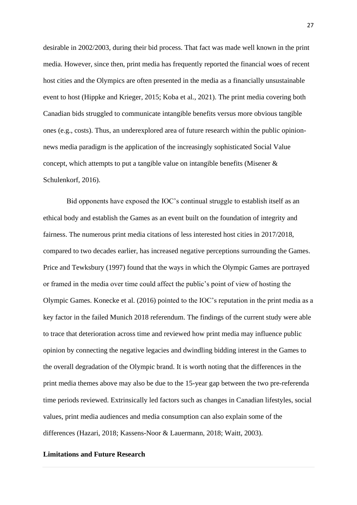desirable in 2002/2003, during their bid process. That fact was made well known in the print media. However, since then, print media has frequently reported the financial woes of recent host cities and the Olympics are often presented in the media as a financially unsustainable event to host (Hippke and Krieger, 2015; Koba et al., 2021). The print media covering both Canadian bids struggled to communicate intangible benefits versus more obvious tangible ones (e.g., costs). Thus, an underexplored area of future research within the public opinionnews media paradigm is the application of the increasingly sophisticated Social Value concept, which attempts to put a tangible value on intangible benefits (Misener  $\&$ Schulenkorf, 2016).

Bid opponents have exposed the IOC's continual struggle to establish itself as an ethical body and establish the Games as an event built on the foundation of integrity and fairness. The numerous print media citations of less interested host cities in 2017/2018, compared to two decades earlier, has increased negative perceptions surrounding the Games. Price and Tewksbury (1997) found that the ways in which the Olympic Games are portrayed or framed in the media over time could affect the public's point of view of hosting the Olympic Games. Konecke et al. (2016) pointed to the IOC's reputation in the print media as a key factor in the failed Munich 2018 referendum. The findings of the current study were able to trace that deterioration across time and reviewed how print media may influence public opinion by connecting the negative legacies and dwindling bidding interest in the Games to the overall degradation of the Olympic brand. It is worth noting that the differences in the print media themes above may also be due to the 15-year gap between the two pre-referenda time periods reviewed. Extrinsically led factors such as changes in Canadian lifestyles, social values, print media audiences and media consumption can also explain some of the differences (Hazari, 2018; Kassens-Noor & Lauermann, 2018; Waitt, 2003).

# **Limitations and Future Research**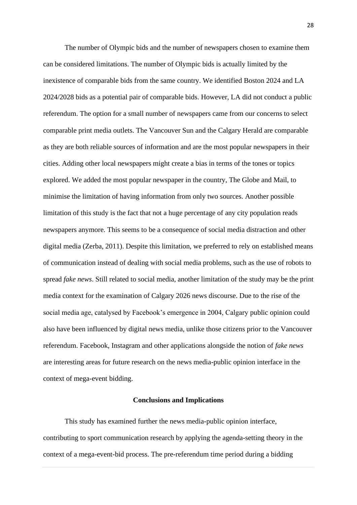The number of Olympic bids and the number of newspapers chosen to examine them can be considered limitations. The number of Olympic bids is actually limited by the inexistence of comparable bids from the same country. We identified Boston 2024 and LA 2024/2028 bids as a potential pair of comparable bids. However, LA did not conduct a public referendum. The option for a small number of newspapers came from our concerns to select comparable print media outlets. The Vancouver Sun and the Calgary Herald are comparable as they are both reliable sources of information and are the most popular newspapers in their cities. Adding other local newspapers might create a bias in terms of the tones or topics explored. We added the most popular newspaper in the country, The Globe and Mail, to minimise the limitation of having information from only two sources. Another possible limitation of this study is the fact that not a huge percentage of any city population reads newspapers anymore. This seems to be a consequence of social media distraction and other digital media (Zerba, 2011). Despite this limitation, we preferred to rely on established means of communication instead of dealing with social media problems, such as the use of robots to spread *fake news*. Still related to social media, another limitation of the study may be the print media context for the examination of Calgary 2026 news discourse. Due to the rise of the social media age, catalysed by Facebook's emergence in 2004, Calgary public opinion could also have been influenced by digital news media, unlike those citizens prior to the Vancouver referendum. Facebook, Instagram and other applications alongside the notion of *fake news* are interesting areas for future research on the news media-public opinion interface in the context of mega-event bidding.

# **Conclusions and Implications**

This study has examined further the news media-public opinion interface, contributing to sport communication research by applying the agenda-setting theory in the context of a mega-event-bid process. The pre-referendum time period during a bidding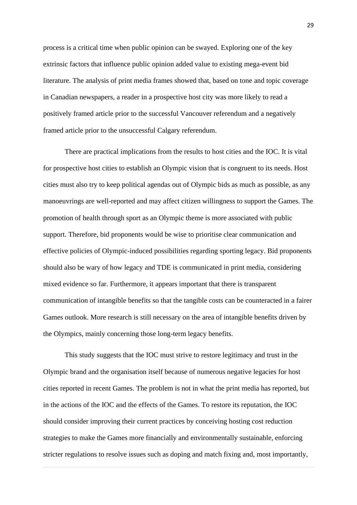process is a critical time when public opinion can be swayed. Exploring one of the key extrinsic factors that influence public opinion added value to existing mega-event bid literature. The analysis of print media frames showed that, based on tone and topic coverage in Canadian newspapers, a reader in a prospective host city was more likely to read a positively framed article prior to the successful Vancouver referendum and a negatively framed article prior to the unsuccessful Calgary referendum.

There are practical implications from the results to host cities and the IOC. It is vital for prospective host cities to establish an Olympic vision that is congruent to its needs. Host cities must also try to keep political agendas out of Olympic bids as much as possible, as any manoeuvrings are well-reported and may affect citizen willingness to support the Games. The promotion of health through sport as an Olympic theme is more associated with public support. Therefore, bid proponents would be wise to prioritise clear communication and effective policies of Olympic-induced possibilities regarding sporting legacy. Bid proponents should also be wary of how legacy and TDE is communicated in print media, considering mixed evidence so far. Furthermore, it appears important that there is transparent communication of intangible benefits so that the tangible costs can be counteracted in a fairer Games outlook. More research is still necessary on the area of intangible benefits driven by the Olympics, mainly concerning those long-term legacy benefits.

This study suggests that the IOC must strive to restore legitimacy and trust in the Olympic brand and the organisation itself because of numerous negative legacies for host cities reported in recent Games. The problem is not in what the print media has reported, but in the actions of the IOC and the effects of the Games. To restore its reputation, the IOC should consider improving their current practices by conceiving hosting cost reduction strategies to make the Games more financially and environmentally sustainable, enforcing stricter regulations to resolve issues such as doping and match fixing and, most importantly,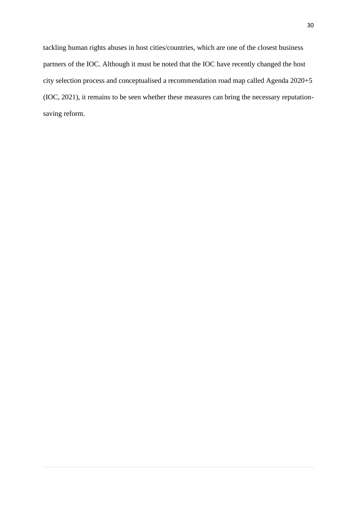tackling human rights abuses in host cities/countries, which are one of the closest business partners of the IOC. Although it must be noted that the IOC have recently changed the host city selection process and conceptualised a recommendation road map called Agenda 2020+5 (IOC, 2021), it remains to be seen whether these measures can bring the necessary reputationsaving reform.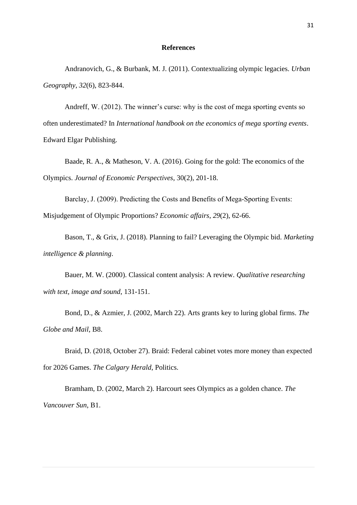#### **References**

Andranovich, G., & Burbank, M. J. (2011). Contextualizing olympic legacies. *Urban Geography*, *32*(6), 823-844.

Andreff, W. (2012). The winner's curse: why is the cost of mega sporting events so often underestimated? In *International handbook on the economics of mega sporting events*. Edward Elgar Publishing.

Baade, R. A., & Matheson, V. A. (2016). Going for the gold: The economics of the Olympics. *Journal of Economic Perspectives*, 30(2), 201-18.

Barclay, J. (2009). Predicting the Costs and Benefits of Mega-Sporting Events:

Misjudgement of Olympic Proportions? *Economic affairs*, *29*(2), 62-66.

Bason, T., & Grix, J. (2018). Planning to fail? Leveraging the Olympic bid. *Marketing intelligence & planning*.

Bauer, M. W. (2000). Classical content analysis: A review. *Qualitative researching with text, image and sound*, 131-151.

Bond, D., & Azmier, J. (2002, March 22). Arts grants key to luring global firms. *The Globe and Mail*, B8.

Braid, D. (2018, October 27). Braid: Federal cabinet votes more money than expected for 2026 Games. *The Calgary Herald*, Politics.

Bramham, D. (2002, March 2). Harcourt sees Olympics as a golden chance. *The Vancouver Sun*, B1.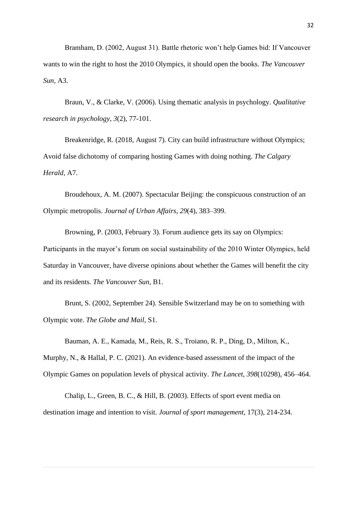Bramham, D. (2002, August 31). Battle rhetoric won't help Games bid: If Vancouver wants to win the right to host the 2010 Olympics, it should open the books. *The Vancouver Sun*, A3.

Braun, V., & Clarke, V. (2006). Using thematic analysis in psychology. *Qualitative research in psychology*, *3*(2), 77-101.

Breakenridge, R. (2018, August 7). City can build infrastructure without Olympics; Avoid false dichotomy of comparing hosting Games with doing nothing. *The Calgary Herald*, A7.

Broudehoux, A. M. (2007). Spectacular Beijing: the conspicuous construction of an Olympic metropolis. *Journal of Urban Affairs, 29*(4), 383–399.

Browning, P. (2003, February 3). Forum audience gets its say on Olympics: Participants in the mayor's forum on social sustainability of the 2010 Winter Olympics, held Saturday in Vancouver, have diverse opinions about whether the Games will benefit the city and its residents. *The Vancouver Sun*, B1.

Brunt, S. (2002, September 24). Sensible Switzerland may be on to something with Olympic vote. *The Globe and Mail*, S1.

Bauman, A. E., Kamada, M., Reis, R. S., Troiano, R. P., Ding, D., Milton, K.,

Murphy, N., & Hallal, P. C. (2021). An evidence-based assessment of the impact of the Olympic Games on population levels of physical activity. *The Lancet, 398*(10298), 456–464.

Chalip, L., Green, B. C., & Hill, B. (2003). Effects of sport event media on destination image and intention to visit. *Journal of sport management*, 17(3), 214-234.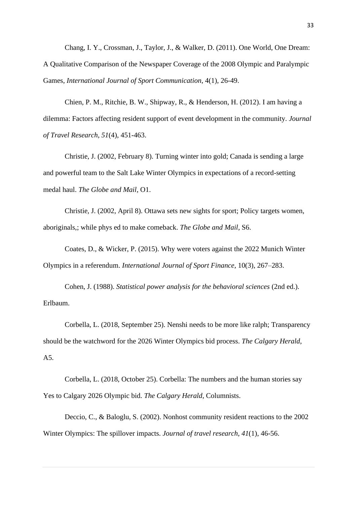Chang, I. Y., Crossman, J., Taylor, J., & Walker, D. (2011). One World, One Dream: A Qualitative Comparison of the Newspaper Coverage of the 2008 Olympic and Paralympic Games, *International Journal of Sport Communication*, 4(1), 26-49.

Chien, P. M., Ritchie, B. W., Shipway, R., & Henderson, H. (2012). I am having a dilemma: Factors affecting resident support of event development in the community. *Journal of Travel Research*, *51*(4), 451-463.

Christie, J. (2002, February 8). Turning winter into gold; Canada is sending a large and powerful team to the Salt Lake Winter Olympics in expectations of a record-setting medal haul. *The Globe and Mail*, O1.

Christie, J. (2002, April 8). Ottawa sets new sights for sport; Policy targets women, aboriginals,; while phys ed to make comeback. *The Globe and Mail*, S6.

Coates, D., & Wicker, P. (2015). Why were voters against the 2022 Munich Winter Olympics in a referendum. *International Journal of Sport Finance*, 10(3), 267–283.

Cohen, J. (1988). *Statistical power analysis for the behavioral sciences* (2nd ed.). Erlbaum.

Corbella, L. (2018, September 25). Nenshi needs to be more like ralph; Transparency should be the watchword for the 2026 Winter Olympics bid process. *The Calgary Herald*, A5.

Corbella, L. (2018, October 25). Corbella: The numbers and the human stories say Yes to Calgary 2026 Olympic bid. *The Calgary Herald*, Columnists.

Deccio, C., & Baloglu, S. (2002). Nonhost community resident reactions to the 2002 Winter Olympics: The spillover impacts. *Journal of travel research*, *41*(1), 46-56.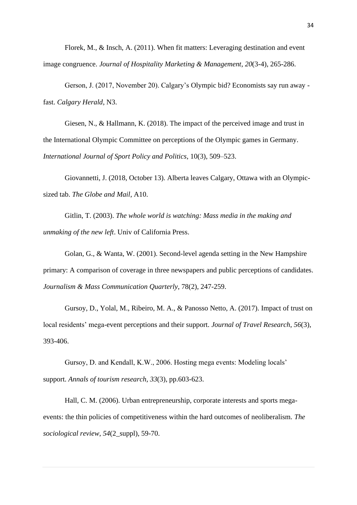Florek, M., & Insch, A. (2011). When fit matters: Leveraging destination and event image congruence. *Journal of Hospitality Marketing & Management*, *20*(3-4), 265-286.

Gerson, J. (2017, November 20). Calgary's Olympic bid? Economists say run away fast. *Calgary Herald*, N3.

Giesen, N., & Hallmann, K. (2018). The impact of the perceived image and trust in the International Olympic Committee on perceptions of the Olympic games in Germany. *International Journal of Sport Policy and Politics*, 10(3), 509–523.

Giovannetti, J. (2018, October 13). Alberta leaves Calgary, Ottawa with an Olympicsized tab. *The Globe and Mail*, A10.

Gitlin, T. (2003). *The whole world is watching: Mass media in the making and unmaking of the new left*. Univ of California Press.

Golan, G., & Wanta, W. (2001). Second-level agenda setting in the New Hampshire primary: A comparison of coverage in three newspapers and public perceptions of candidates. *Journalism & Mass Communication Quarterly*, 78(2), 247-259.

Gursoy, D., Yolal, M., Ribeiro, M. A., & Panosso Netto, A. (2017). Impact of trust on local residents' mega-event perceptions and their support. *Journal of Travel Research*, *56*(3), 393-406.

Gursoy, D. and Kendall, K.W., 2006. Hosting mega events: Modeling locals' support. *Annals of tourism research*, *33*(3), pp.603-623.

Hall, C. M. (2006). Urban entrepreneurship, corporate interests and sports megaevents: the thin policies of competitiveness within the hard outcomes of neoliberalism. *The sociological review*, *54*(2\_suppl), 59-70.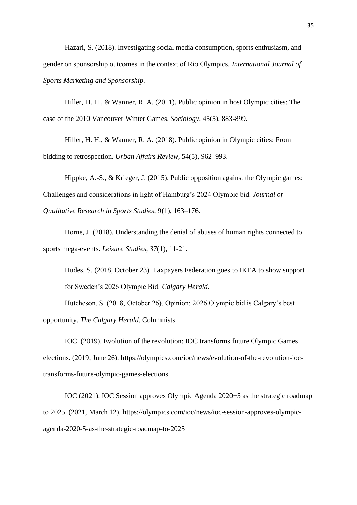Hazari, S. (2018). Investigating social media consumption, sports enthusiasm, and gender on sponsorship outcomes in the context of Rio Olympics. *International Journal of Sports Marketing and Sponsorship*.

Hiller, H. H., & Wanner, R. A. (2011). Public opinion in host Olympic cities: The case of the 2010 Vancouver Winter Games. *Sociology*, 45(5), 883-899.

Hiller, H. H., & Wanner, R. A. (2018). Public opinion in Olympic cities: From bidding to retrospection. *Urban Affairs Review*, 54(5), 962–993.

Hippke, A.-S., & Krieger, J. (2015). Public opposition against the Olympic games: Challenges and considerations in light of Hamburg's 2024 Olympic bid. *Journal of Qualitative Research in Sports Studies*, 9(1), 163–176.

Horne, J. (2018). Understanding the denial of abuses of human rights connected to sports mega-events. *Leisure Studies*, *37*(1), 11-21.

Hudes, S. (2018, October 23). Taxpayers Federation goes to IKEA to show support for Sweden's 2026 Olympic Bid. *Calgary Herald*.

Hutcheson, S. (2018, October 26). Opinion: 2026 Olympic bid is Calgary's best opportunity. *The Calgary Herald*, Columnists.

IOC. (2019). Evolution of the revolution: IOC transforms future Olympic Games elections. (2019, June 26). https://olympics.com/ioc/news/evolution-of-the-revolution-ioctransforms-future-olympic-games-elections

IOC (2021). IOC Session approves Olympic Agenda 2020+5 as the strategic roadmap to 2025. (2021, March 12). https://olympics.com/ioc/news/ioc-session-approves-olympicagenda-2020-5-as-the-strategic-roadmap-to-2025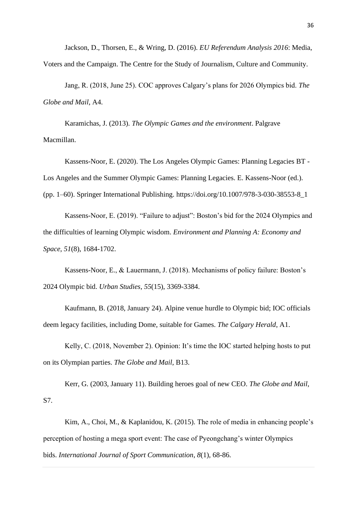Jackson, D., Thorsen, E., & Wring, D. (2016). *EU Referendum Analysis 2016*: Media, Voters and the Campaign. The Centre for the Study of Journalism, Culture and Community.

Jang, R. (2018, June 25). COC approves Calgary's plans for 2026 Olympics bid. *The Globe and Mail*, A4.

Karamichas, J. (2013). *The Olympic Games and the environment*. Palgrave Macmillan.

Kassens-Noor, E. (2020). The Los Angeles Olympic Games: Planning Legacies BT - Los Angeles and the Summer Olympic Games: Planning Legacies. E. Kassens-Noor (ed.). (pp. 1–60). Springer International Publishing. https://doi.org/10.1007/978-3-030-38553-8\_1

Kassens-Noor, E. (2019). "Failure to adjust": Boston's bid for the 2024 Olympics and the difficulties of learning Olympic wisdom. *Environment and Planning A: Economy and Space*, *51*(8), 1684-1702.

Kassens-Noor, E., & Lauermann, J. (2018). Mechanisms of policy failure: Boston's 2024 Olympic bid. *Urban Studies*, *55*(15), 3369-3384.

Kaufmann, B. (2018, January 24). Alpine venue hurdle to Olympic bid; IOC officials deem legacy facilities, including Dome, suitable for Games. *The Calgary Herald*, A1.

Kelly, C. (2018, November 2). Opinion: It's time the IOC started helping hosts to put on its Olympian parties. *The Globe and Mail*, B13.

Kerr, G. (2003, January 11). Building heroes goal of new CEO. *The Globe and Mail*, S7.

Kim, A., Choi, M., & Kaplanidou, K. (2015). The role of media in enhancing people's perception of hosting a mega sport event: The case of Pyeongchang's winter Olympics bids. *International Journal of Sport Communication*, *8*(1), 68-86.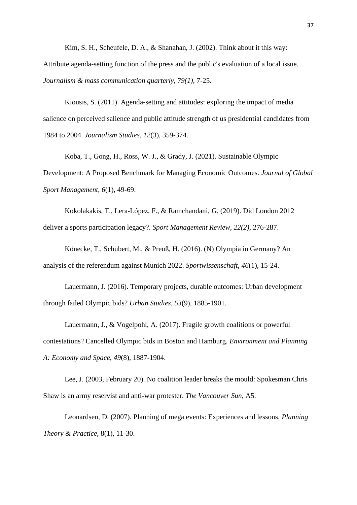Kim, S. H., Scheufele, D. A., & Shanahan, J. (2002). Think about it this way: Attribute agenda-setting function of the press and the public's evaluation of a local issue. *Journalism & mass communication quarterly*, *79(1),* 7-25.

Kiousis, S. (2011). Agenda-setting and attitudes: exploring the impact of media salience on perceived salience and public attitude strength of us presidential candidates from 1984 to 2004. *Journalism Studies*, *12*(3), 359-374.

Koba, T., Gong, H., Ross, W. J., & Grady, J. (2021). Sustainable Olympic Development: A Proposed Benchmark for Managing Economic Outcomes. *Journal of Global Sport Management*, *6*(1), 49-69.

Kokolakakis, T., Lera-López, F., & Ramchandani, G. (2019). Did London 2012 deliver a sports participation legacy?. *Sport Management Review, 22(2)*, 276-287.

Könecke, T., Schubert, M., & Preuß, H. (2016). (N) Olympia in Germany? An analysis of the referendum against Munich 2022. *Sportwissenschaft*, *46*(1), 15-24.

Lauermann, J. (2016). Temporary projects, durable outcomes: Urban development through failed Olympic bids? *Urban Studies*, *53*(9), 1885-1901.

Lauermann, J., & Vogelpohl, A. (2017). Fragile growth coalitions or powerful contestations? Cancelled Olympic bids in Boston and Hamburg. *Environment and Planning A: Economy and Space*, *49*(8), 1887-1904.

Lee, J. (2003, February 20). No coalition leader breaks the mould: Spokesman Chris Shaw is an army reservist and anti-war protester. *The Vancouver Sun*, A5.

Leonardsen, D. (2007). Planning of mega events: Experiences and lessons. *Planning Theory & Practice*, 8(1), 11-30.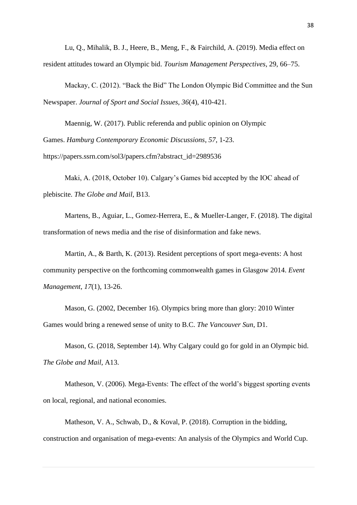Lu, Q., Mihalik, B. J., Heere, B., Meng, F., & Fairchild, A. (2019). Media effect on resident attitudes toward an Olympic bid. *Tourism Management Perspectives*, 29, 66–75.

Mackay, C. (2012). "Back the Bid" The London Olympic Bid Committee and the Sun Newspaper. *Journal of Sport and Social Issues*, *36*(4), 410-421.

Maennig, W. (2017). Public referenda and public opinion on Olympic Games. *Hamburg Contemporary Economic Discussions*, *57*, 1-23. https://papers.ssrn.com/sol3/papers.cfm?abstract\_id=2989536

Maki, A. (2018, October 10). Calgary's Games bid accepted by the IOC ahead of plebiscite. *The Globe and Mail*, B13.

Martens, B., Aguiar, L., Gomez-Herrera, E., & Mueller-Langer, F. (2018). The digital transformation of news media and the rise of disinformation and fake news.

Martin, A., & Barth, K. (2013). Resident perceptions of sport mega-events: A host community perspective on the forthcoming commonwealth games in Glasgow 2014. *Event Management*, *17*(1), 13-26.

Mason, G. (2002, December 16). Olympics bring more than glory: 2010 Winter Games would bring a renewed sense of unity to B.C. *The Vancouver Sun*, D1.

Mason, G. (2018, September 14). Why Calgary could go for gold in an Olympic bid. *The Globe and Mail*, A13.

Matheson, V. (2006). Mega-Events: The effect of the world's biggest sporting events on local, regional, and national economies.

Matheson, V. A., Schwab, D., & Koval, P. (2018). Corruption in the bidding, construction and organisation of mega-events: An analysis of the Olympics and World Cup.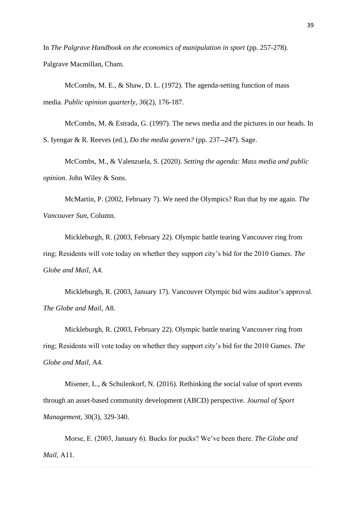In *The Palgrave Handbook on the economics of manipulation in sport* (pp. 257-278). Palgrave Macmillan, Cham.

McCombs, M. E., & Shaw, D. L. (1972). The agenda-setting function of mass media. *Public opinion quarterly*, *36*(2), 176-187.

McCombs, M. & Estrada, G. (1997). The news media and the pictures in our heads. In S. Iyengar & R. Reeves (ed.), *Do the media govern?* (pp. 237--247). Sage.

McCombs, M., & Valenzuela, S. (2020). *Setting the agenda: Mass media and public opinion*. John Wiley & Sons.

McMartin, P. (2002, February 7). We need the Olympics? Run that by me again. *The Vancouver Sun*, Column.

Mickleburgh, R. (2003, February 22). Olympic battle tearing Vancouver ring from ring; Residents will vote today on whether they support city's bid for the 2010 Games. *The Globe and Mail*, A4.

Mickleburgh, R. (2003, January 17). Vancouver Olympic bid wins auditor's approval. *The Globe and Mail*, A8.

Mickleburgh, R. (2003, February 22). Olympic battle tearing Vancouver ring from ring; Residents will vote today on whether they support city's bid for the 2010 Games. *The Globe and Mail*, A4.

Misener, L., & Schulenkorf, N. (2016). Rethinking the social value of sport events through an asset-based community development (ABCD) perspective. *Journal of Sport Management*, 30(3), 329-340.

Morse, E. (2003, January 6). Bucks for pucks? We've been there. *The Globe and Mail*, A11.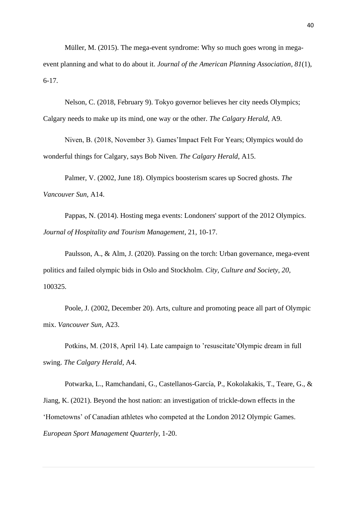Müller, M. (2015). The mega-event syndrome: Why so much goes wrong in megaevent planning and what to do about it. *Journal of the American Planning Association*, *81*(1), 6-17.

Nelson, C. (2018, February 9). Tokyo governor believes her city needs Olympics; Calgary needs to make up its mind, one way or the other. *The Calgary Herald*, A9.

Niven, B. (2018, November 3). Games'Impact Felt For Years; Olympics would do wonderful things for Calgary, says Bob Niven. *The Calgary Herald*, A15.

Palmer, V. (2002, June 18). Olympics boosterism scares up Socred ghosts. *The Vancouver Sun*, A14.

Pappas, N. (2014). Hosting mega events: Londoners' support of the 2012 Olympics. *Journal of Hospitality and Tourism Management*, 21, 10-17.

Paulsson, A., & Alm, J. (2020). Passing on the torch: Urban governance, mega-event politics and failed olympic bids in Oslo and Stockholm. *City, Culture and Society*, *20*, 100325.

Poole, J. (2002, December 20). Arts, culture and promoting peace all part of Olympic mix. *Vancouver Sun*, A23.

Potkins, M. (2018, April 14). Late campaign to 'resuscitate'Olympic dream in full swing. *The Calgary Herald*, A4.

Potwarka, L., Ramchandani, G., Castellanos-García, P., Kokolakakis, T., Teare, G., & Jiang, K. (2021). Beyond the host nation: an investigation of trickle-down effects in the 'Hometowns' of Canadian athletes who competed at the London 2012 Olympic Games. *European Sport Management Quarterly*, 1-20.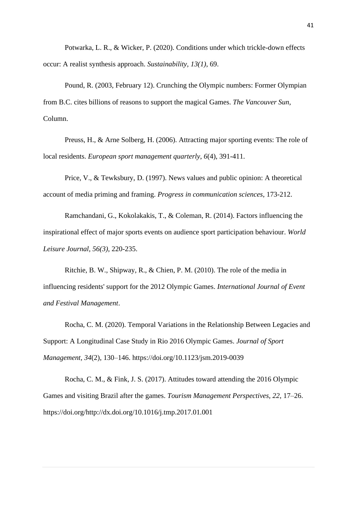Potwarka, L. R., & Wicker, P. (2020). Conditions under which trickle-down effects occur: A realist synthesis approach. *Sustainability, 13(1)*, 69.

Pound, R. (2003, February 12). Crunching the Olympic numbers: Former Olympian from B.C. cites billions of reasons to support the magical Games. *The Vancouver Sun*, Column.

Preuss, H., & Arne Solberg, H. (2006). Attracting major sporting events: The role of local residents. *European sport management quarterly*, *6*(4), 391-411.

Price, V., & Tewksbury, D. (1997). News values and public opinion: A theoretical account of media priming and framing. *Progress in communication sciences*, 173-212.

Ramchandani, G., Kokolakakis, T., & Coleman, R. (2014). Factors influencing the inspirational effect of major sports events on audience sport participation behaviour. *World Leisure Journal, 56(3)*, 220-235.

Ritchie, B. W., Shipway, R., & Chien, P. M. (2010). The role of the media in influencing residents' support for the 2012 Olympic Games. *International Journal of Event and Festival Management*.

Rocha, C. M. (2020). Temporal Variations in the Relationship Between Legacies and Support: A Longitudinal Case Study in Rio 2016 Olympic Games. *Journal of Sport Management, 34*(2), 130–146. https://doi.org/10.1123/jsm.2019-0039

Rocha, C. M., & Fink, J. S. (2017). Attitudes toward attending the 2016 Olympic Games and visiting Brazil after the games. *Tourism Management Perspectives, 22*, 17–26. https://doi.org/http://dx.doi.org/10.1016/j.tmp.2017.01.001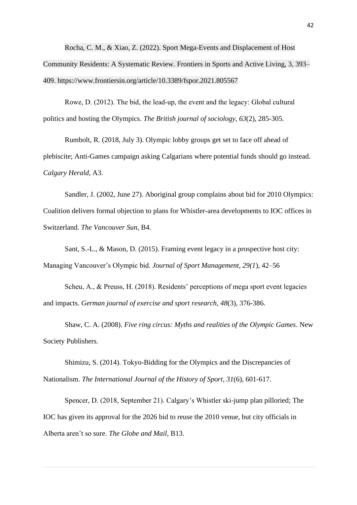Rocha, C. M., & Xiao, Z. (2022). Sport Mega-Events and Displacement of Host Community Residents: A Systematic Review. Frontiers in Sports and Active Living, 3, 393– 409. https://www.frontiersin.org/article/10.3389/fspor.2021.805567

Rowe, D. (2012). The bid, the lead‐up, the event and the legacy: Global cultural politics and hosting the Olympics. *The British journal of sociology*, *63*(2), 285-305.

Rumbolt, R. (2018, July 3). Olympic lobby groups get set to face off ahead of plebiscite; Anti-Games campaign asking Calgarians where potential funds should go instead. *Calgary Herald*, A3.

Sandler, J. (2002, June 27). Aboriginal group complains about bid for 2010 Olympics: Coalition delivers formal objection to plans for Whistler-area developments to IOC offices in Switzerland. *The Vancouver Sun*, B4.

Sant, S.-L., & Mason, D. (2015). Framing event legacy in a prospective host city: Managing Vancouver's Olympic bid. *Journal of Sport Management, 29(1*), 42–56

Scheu, A., & Preuss, H. (2018). Residents' perceptions of mega sport event legacies and impacts. *German journal of exercise and sport research*, *48*(3), 376-386.

Shaw, C. A. (2008). *Five ring circus: Myths and realities of the Olympic Games*. New Society Publishers.

Shimizu, S. (2014). Tokyo-Bidding for the Olympics and the Discrepancies of Nationalism. *The International Journal of the History of Sport*, *31*(6), 601-617.

Spencer, D. (2018, September 21). Calgary's Whistler ski-jump plan pilloried; The IOC has given its approval for the 2026 bid to reuse the 2010 venue, but city officials in Alberta aren't so sure. *The Globe and Mail*, B13.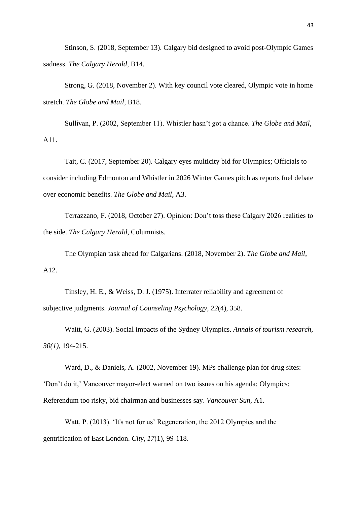Stinson, S. (2018, September 13). Calgary bid designed to avoid post-Olympic Games sadness. *The Calgary Herald*, B14.

Strong, G. (2018, November 2). With key council vote cleared, Olympic vote in home stretch. *The Globe and Mail*, B18.

Sullivan, P. (2002, September 11). Whistler hasn't got a chance. *The Globe and Mail*, A11.

Tait, C. (2017, September 20). Calgary eyes multicity bid for Olympics; Officials to consider including Edmonton and Whistler in 2026 Winter Games pitch as reports fuel debate over economic benefits. *The Globe and Mail*, A3.

Terrazzano, F. (2018, October 27). Opinion: Don't toss these Calgary 2026 realities to the side. *The Calgary Herald*, Columnists.

The Olympian task ahead for Calgarians. (2018, November 2). *The Globe and Mail*, A12.

Tinsley, H. E., & Weiss, D. J. (1975). Interrater reliability and agreement of subjective judgments. *Journal of Counseling Psychology*, *22*(4), 358.

Waitt, G. (2003). Social impacts of the Sydney Olympics. *Annals of tourism research, 30(1)*, 194-215.

Ward, D., & Daniels, A. (2002, November 19). MPs challenge plan for drug sites: 'Don't do it,' Vancouver mayor-elect warned on two issues on his agenda: Olympics: Referendum too risky, bid chairman and businesses say. *Vancouver Sun*, A1.

Watt, P. (2013). 'It's not for us' Regeneration, the 2012 Olympics and the gentrification of East London. *City*, *17*(1), 99-118.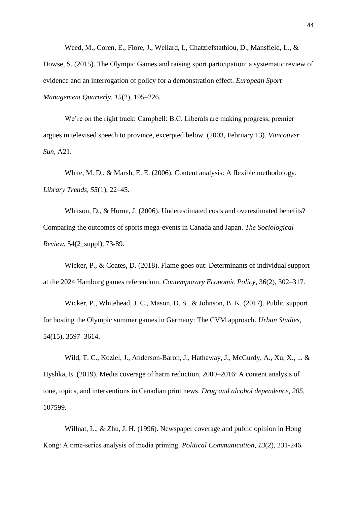Weed, M., Coren, E., Fiore, J., Wellard, I., Chatziefstathiou, D., Mansfield, L., & Dowse, S. (2015). The Olympic Games and raising sport participation: a systematic review of evidence and an interrogation of policy for a demonstration effect. *European Sport Management Quarterly, 15*(2), 195–226.

We're on the right track: Campbell: B.C. Liberals are making progress, premier argues in televised speech to province, excerpted below. (2003, February 13). *Vancouver Sun*, A21.

White, M. D., & Marsh, E. E. (2006). Content analysis: A flexible methodology. *Library Trends, 55*(1), 22–45.

Whitson, D., & Horne, J. (2006). Underestimated costs and overestimated benefits? Comparing the outcomes of sports mega-events in Canada and Japan. *The Sociological Review*, 54(2\_suppl), 73-89.

Wicker, P., & Coates, D. (2018). Flame goes out: Determinants of individual support at the 2024 Hamburg games referendum. *Contemporary Economic Policy*, 36(2), 302–317.

Wicker, P., Whitehead, J. C., Mason, D. S., & Johnson, B. K. (2017). Public support for hosting the Olympic summer games in Germany: The CVM approach. *Urban Studies*, 54(15), 3597–3614.

Wild, T. C., Koziel, J., Anderson-Baron, J., Hathaway, J., McCurdy, A., Xu, X., ... & Hyshka, E. (2019). Media coverage of harm reduction, 2000–2016: A content analysis of tone, topics, and interventions in Canadian print news. *Drug and alcohol dependence*, *205*, 107599.

Willnat, L., & Zhu, J. H. (1996). Newspaper coverage and public opinion in Hong Kong: A time‐series analysis of media priming. *Political Communication*, *13*(2), 231-246.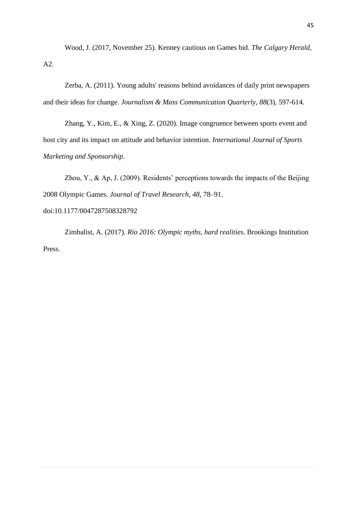Wood, J. (2017, November 25). Kenney cautious on Games bid. *The Calgary Herald*, A2.

Zerba, A. (2011). Young adults' reasons behind avoidances of daily print newspapers and their ideas for change. *Journalism & Mass Communication Quarterly*, *88*(3), 597-614.

Zhang, Y., Kim, E., & Xing, Z. (2020). Image congruence between sports event and host city and its impact on attitude and behavior intention. *International Journal of Sports Marketing and Sponsorship*.

Zhou, Y., & Ap, J. (2009). Residents' perceptions towards the impacts of the Beijing 2008 Olympic Games. *Journal of Travel Research, 48*, 78–91. doi:10.1177/0047287508328792

Zimbalist, A. (2017). *Rio 2016: Olympic myths, hard realities*. Brookings Institution Press.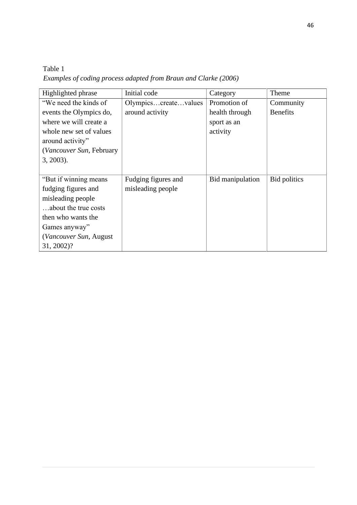Table 1 *Examples of coding process adapted from Braun and Clarke (2006)*

| Highlighted phrase       | Initial code         | Category         | Theme           |
|--------------------------|----------------------|------------------|-----------------|
| "We need the kinds of    | Olympicscreatevalues | Promotion of     | Community       |
| events the Olympics do,  | around activity      | health through   | <b>Benefits</b> |
| where we will create a   |                      | sport as an      |                 |
| whole new set of values  |                      | activity         |                 |
| around activity"         |                      |                  |                 |
| (Vancouver Sun, February |                      |                  |                 |
| $3, 2003$ ).             |                      |                  |                 |
|                          |                      |                  |                 |
| "But if winning means    | Fudging figures and  | Bid manipulation | Bid politics    |
| fudging figures and      | misleading people    |                  |                 |
| misleading people        |                      |                  |                 |
| about the true costs     |                      |                  |                 |
| then who wants the       |                      |                  |                 |
| Games anyway"            |                      |                  |                 |
| (Vancouver Sun, August   |                      |                  |                 |
| 31, 2002)?               |                      |                  |                 |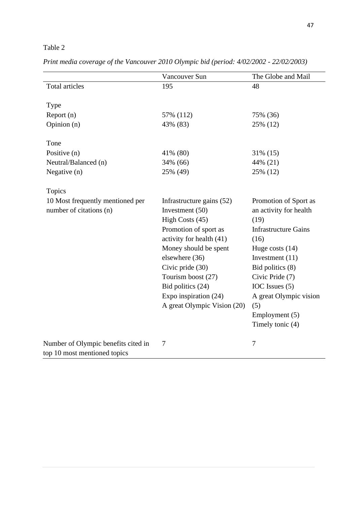# Table 2

|                                     | Vancouver Sun               | The Globe and Mail          |
|-------------------------------------|-----------------------------|-----------------------------|
| Total articles                      | 195                         | 48                          |
|                                     |                             |                             |
| <b>Type</b>                         |                             |                             |
| Report (n)                          | 57% (112)                   | 75% (36)                    |
| Opinion (n)                         | 43% (83)                    | 25% (12)                    |
| Tone                                |                             |                             |
| Positive (n)                        | 41% (80)                    | 31% (15)                    |
| Neutral/Balanced (n)                | 34% (66)                    | 44% (21)                    |
| Negative (n)                        | 25% (49)                    | 25% (12)                    |
| Topics                              |                             |                             |
| 10 Most frequently mentioned per    | Infrastructure gains (52)   | Promotion of Sport as       |
| number of citations (n)             | Investment $(50)$           | an activity for health      |
|                                     | High Costs (45)             | (19)                        |
|                                     | Promotion of sport as       | <b>Infrastructure Gains</b> |
|                                     | activity for health (41)    | (16)                        |
|                                     | Money should be spent       | Huge costs $(14)$           |
|                                     | elsewhere (36)              | Investment $(11)$           |
|                                     | Civic pride (30)            | Bid politics (8)            |
|                                     | Tourism boost (27)          | Civic Pride (7)             |
|                                     | Bid politics (24)           | IOC Issues (5)              |
|                                     | Expo inspiration (24)       | A great Olympic vision      |
|                                     | A great Olympic Vision (20) | (5)                         |
|                                     |                             | Employment (5)              |
|                                     |                             | Timely tonic (4)            |
|                                     |                             |                             |
| Number of Olympic benefits cited in | 7                           | 7                           |
| top 10 most mentioned topics        |                             |                             |

*Print media coverage of the Vancouver 2010 Olympic bid (period: 4/02/2002 - 22/02/2003)*